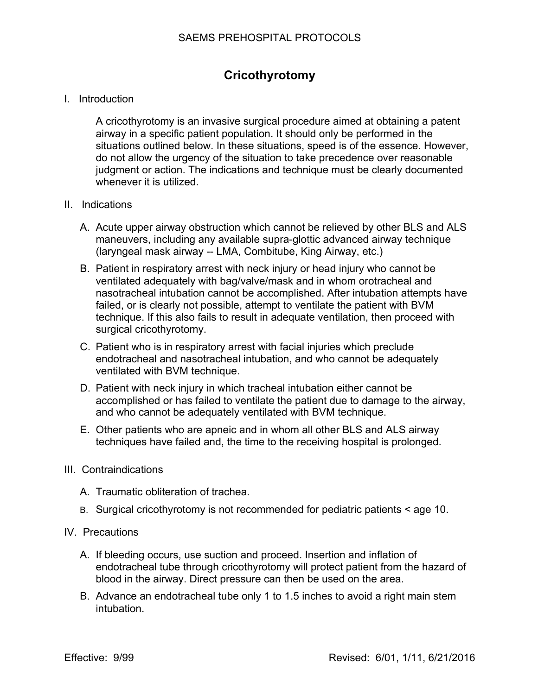## **Cricothyrotomy**

## I. Introduction

A cricothyrotomy is an invasive surgical procedure aimed at obtaining a patent airway in a specific patient population. It should only be performed in the situations outlined below. In these situations, speed is of the essence. However, do not allow the urgency of the situation to take precedence over reasonable judgment or action. The indications and technique must be clearly documented whenever it is utilized.

## II. Indications

- A. Acute upper airway obstruction which cannot be relieved by other BLS and ALS maneuvers, including any available supra-glottic advanced airway technique (laryngeal mask airway -- LMA, Combitube, King Airway, etc.)
- B. Patient in respiratory arrest with neck injury or head injury who cannot be ventilated adequately with bag/valve/mask and in whom orotracheal and nasotracheal intubation cannot be accomplished. After intubation attempts have failed, or is clearly not possible, attempt to ventilate the patient with BVM technique. If this also fails to result in adequate ventilation, then proceed with surgical cricothyrotomy.
- C. Patient who is in respiratory arrest with facial injuries which preclude endotracheal and nasotracheal intubation, and who cannot be adequately ventilated with BVM technique.
- D. Patient with neck injury in which tracheal intubation either cannot be accomplished or has failed to ventilate the patient due to damage to the airway, and who cannot be adequately ventilated with BVM technique.
- E. Other patients who are apneic and in whom all other BLS and ALS airway techniques have failed and, the time to the receiving hospital is prolonged.

## III. Contraindications

- A. Traumatic obliteration of trachea.
- B. Surgical cricothyrotomy is not recommended for pediatric patients < age 10.
- IV. Precautions
	- A. If bleeding occurs, use suction and proceed. Insertion and inflation of endotracheal tube through cricothyrotomy will protect patient from the hazard of blood in the airway. Direct pressure can then be used on the area.
	- B. Advance an endotracheal tube only 1 to 1.5 inches to avoid a right main stem intubation.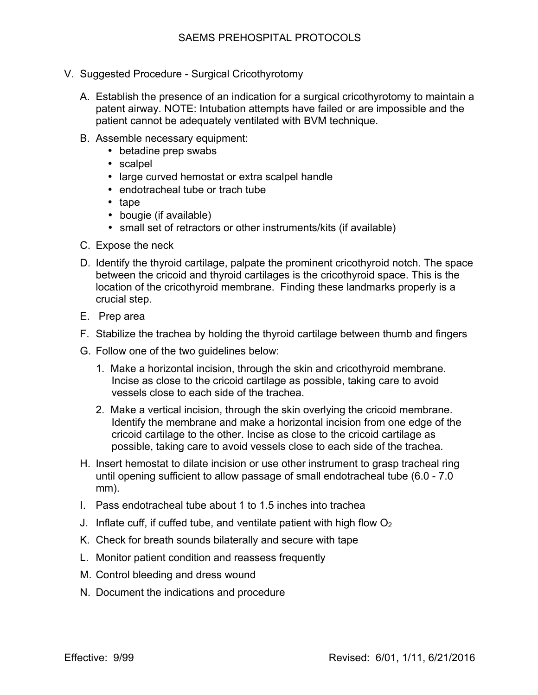- V. Suggested Procedure Surgical Cricothyrotomy
	- A. Establish the presence of an indication for a surgical cricothyrotomy to maintain a patent airway. NOTE: Intubation attempts have failed or are impossible and the patient cannot be adequately ventilated with BVM technique.
	- B. Assemble necessary equipment:
		- betadine prep swabs
		- scalpel
		- large curved hemostat or extra scalpel handle
		- endotracheal tube or trach tube
		- tape
		- bougie (if available)
		- small set of retractors or other instruments/kits (if available)
	- C. Expose the neck
	- D. Identify the thyroid cartilage, palpate the prominent cricothyroid notch. The space between the cricoid and thyroid cartilages is the cricothyroid space. This is the location of the cricothyroid membrane. Finding these landmarks properly is a crucial step.
	- E. Prep area
	- F. Stabilize the trachea by holding the thyroid cartilage between thumb and fingers
	- G. Follow one of the two guidelines below:
		- 1. Make a horizontal incision, through the skin and cricothyroid membrane. Incise as close to the cricoid cartilage as possible, taking care to avoid vessels close to each side of the trachea.
		- 2. Make a vertical incision, through the skin overlying the cricoid membrane. Identify the membrane and make a horizontal incision from one edge of the cricoid cartilage to the other. Incise as close to the cricoid cartilage as possible, taking care to avoid vessels close to each side of the trachea.
	- H. Insert hemostat to dilate incision or use other instrument to grasp tracheal ring until opening sufficient to allow passage of small endotracheal tube (6.0 - 7.0 mm).
	- I. Pass endotracheal tube about 1 to 1.5 inches into trachea
	- J. Inflate cuff, if cuffed tube, and ventilate patient with high flow  $O<sub>2</sub>$
	- K. Check for breath sounds bilaterally and secure with tape
	- L. Monitor patient condition and reassess frequently
	- M. Control bleeding and dress wound
	- N. Document the indications and procedure